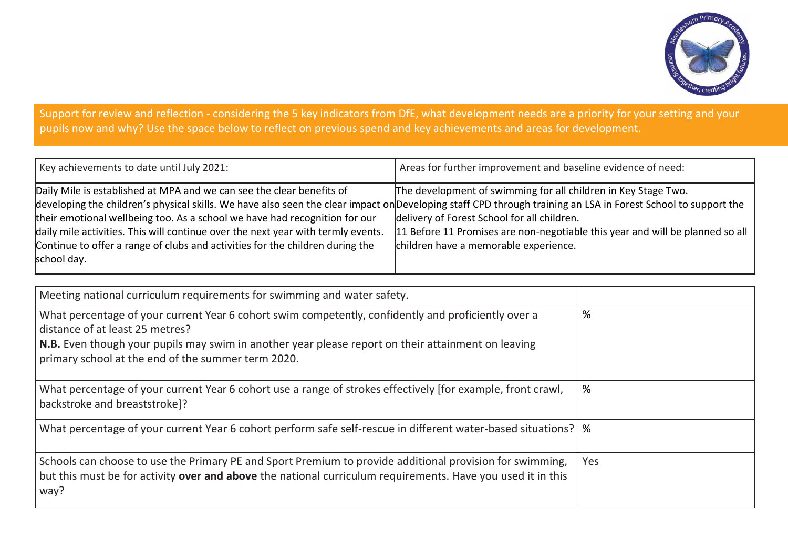

## Support for review and reflection - considering the 5 key indicators from DfE, what development needs are a priority for your setting and your pupils now and why? Use the space below to reflect on previous spend and key achievements and areas for development.

| Key achievements to date until July 2021:                                                                                                                     | Areas for further improvement and baseline evidence of need:                  |
|---------------------------------------------------------------------------------------------------------------------------------------------------------------|-------------------------------------------------------------------------------|
| Daily Mile is established at MPA and we can see the clear benefits of                                                                                         | The development of swimming for all children in Key Stage Two.                |
| developing the children's physical skills. We have also seen the clear impact on Developing staff CPD through training an LSA in Forest School to support the |                                                                               |
| their emotional wellbeing too. As a school we have had recognition for our                                                                                    | delivery of Forest School for all children.                                   |
| daily mile activities. This will continue over the next year with termly events.                                                                              | 11 Before 11 Promises are non-negotiable this year and will be planned so all |
| Continue to offer a range of clubs and activities for the children during the                                                                                 | children have a memorable experience.                                         |
| school day.                                                                                                                                                   |                                                                               |

| Meeting national curriculum requirements for swimming and water safety.                                                                                                                                                                                                                            |     |
|----------------------------------------------------------------------------------------------------------------------------------------------------------------------------------------------------------------------------------------------------------------------------------------------------|-----|
| What percentage of your current Year 6 cohort swim competently, confidently and proficiently over a<br>distance of at least 25 metres?<br>N.B. Even though your pupils may swim in another year please report on their attainment on leaving<br>primary school at the end of the summer term 2020. | %   |
| What percentage of your current Year 6 cohort use a range of strokes effectively [for example, front crawl,<br>backstroke and breaststroke]?                                                                                                                                                       | %   |
| What percentage of your current Year 6 cohort perform safe self-rescue in different water-based situations?   %                                                                                                                                                                                    |     |
| Schools can choose to use the Primary PE and Sport Premium to provide additional provision for swimming,<br>but this must be for activity over and above the national curriculum requirements. Have you used it in this<br>way?                                                                    | Yes |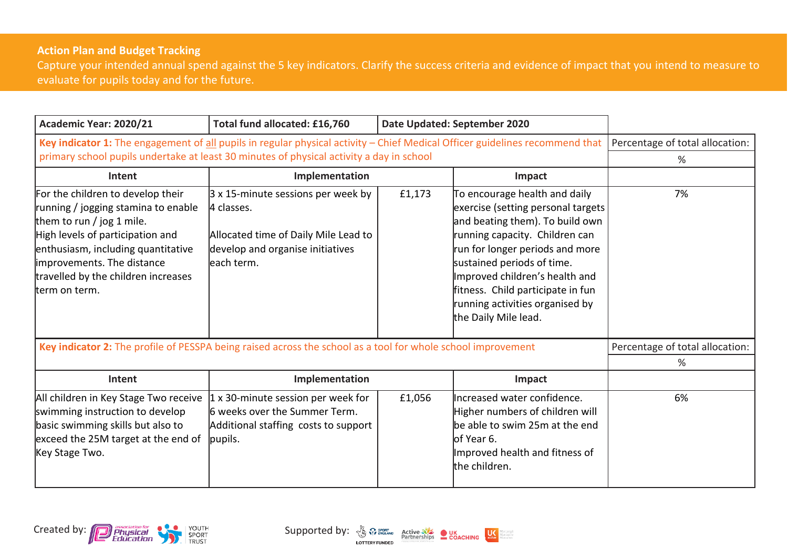## **Action Plan and Budget Tracking**

Capture your intended annual spend against the 5 key indicators. Clarify the success criteria and evidence of impact that you intend to measure to evaluate for pupils today and for the future.

| Academic Year: 2020/21                                                                                                                                                                                                                                                 | Total fund allocated: £16,760                                                                                                                       |        | Date Updated: September 2020                                                                                                                                                                                                                                                                                                                |                                      |
|------------------------------------------------------------------------------------------------------------------------------------------------------------------------------------------------------------------------------------------------------------------------|-----------------------------------------------------------------------------------------------------------------------------------------------------|--------|---------------------------------------------------------------------------------------------------------------------------------------------------------------------------------------------------------------------------------------------------------------------------------------------------------------------------------------------|--------------------------------------|
| Key indicator 1: The engagement of all pupils in regular physical activity - Chief Medical Officer guidelines recommend that<br>primary school pupils undertake at least 30 minutes of physical activity a day in school                                               |                                                                                                                                                     |        |                                                                                                                                                                                                                                                                                                                                             | Percentage of total allocation:<br>℅ |
| Intent                                                                                                                                                                                                                                                                 | Implementation                                                                                                                                      |        | Impact                                                                                                                                                                                                                                                                                                                                      |                                      |
| For the children to develop their<br>running / jogging stamina to enable<br>them to run / jog 1 mile.<br>High levels of participation and<br>enthusiasm, including quantitative<br>improvements. The distance<br>travelled by the children increases<br>tterm on term. | $3 \times 15$ -minute sessions per week by<br>4 classes.<br>Allocated time of Daily Mile Lead to<br>develop and organise initiatives<br>leach term. | £1,173 | To encourage health and daily<br>exercise (setting personal targets<br>and beating them). To build own<br>running capacity. Children can<br>run for longer periods and more<br>sustained periods of time.<br>Improved children's health and<br>fitness. Child participate in fun<br>running activities organised by<br>the Daily Mile lead. | 7%                                   |
| Key indicator 2: The profile of PESSPA being raised across the school as a tool for whole school improvement                                                                                                                                                           |                                                                                                                                                     |        |                                                                                                                                                                                                                                                                                                                                             | Percentage of total allocation:      |
|                                                                                                                                                                                                                                                                        |                                                                                                                                                     |        |                                                                                                                                                                                                                                                                                                                                             | %                                    |
| Intent                                                                                                                                                                                                                                                                 | Implementation                                                                                                                                      |        | Impact                                                                                                                                                                                                                                                                                                                                      |                                      |
| All children in Key Stage Two receive<br>swimming instruction to develop<br>basic swimming skills but also to<br>exceed the 25M target at the end of<br>Key Stage Two.                                                                                                 | 1 x 30-minute session per week for<br>6 weeks over the Summer Term.<br>Additional staffing costs to support<br>pupils.                              | £1,056 | Increased water confidence.<br>Higher numbers of children will<br>be able to swim 25m at the end<br>lof Year 6.<br>Improved health and fitness of<br>the children.                                                                                                                                                                          | 6%                                   |

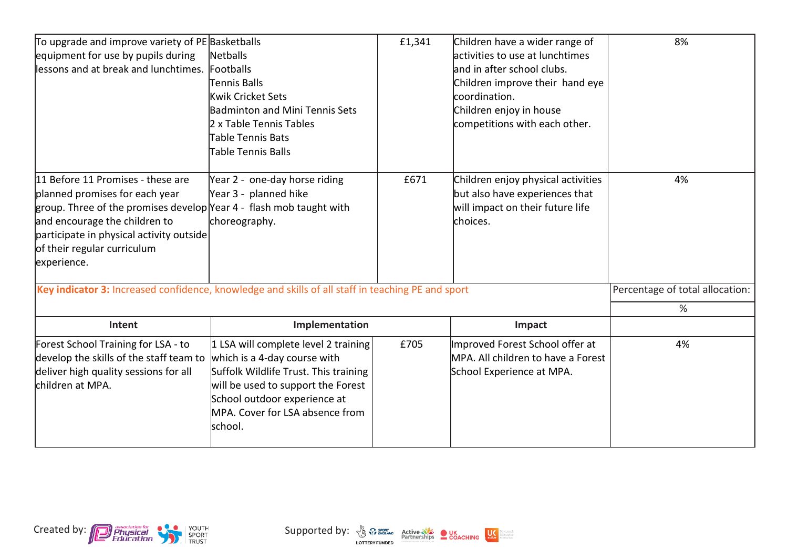| To upgrade and improve variety of PE Basketballs                                                  |                                       | £1,341 | Children have a wider range of     | 8%                              |
|---------------------------------------------------------------------------------------------------|---------------------------------------|--------|------------------------------------|---------------------------------|
| equipment for use by pupils during                                                                | Netballs                              |        | lactivities to use at lunchtimes   |                                 |
| lessons and at break and lunchtimes.                                                              | Footballs                             |        | and in after school clubs.         |                                 |
|                                                                                                   | Tennis Balls                          |        | Children improve their hand eye    |                                 |
|                                                                                                   | Kwik Cricket Sets                     |        | coordination.                      |                                 |
|                                                                                                   | <b>Badminton and Mini Tennis Sets</b> |        | Children enjoy in house            |                                 |
|                                                                                                   | 2 x Table Tennis Tables               |        | competitions with each other.      |                                 |
|                                                                                                   | Table Tennis Bats                     |        |                                    |                                 |
|                                                                                                   | Table Tennis Balls                    |        |                                    |                                 |
| 11 Before 11 Promises - these are                                                                 | Year 2 - one-day horse riding         | £671   | Children enjoy physical activities | 4%                              |
| planned promises for each year                                                                    | Year 3 - planned hike                 |        | but also have experiences that     |                                 |
| group. Three of the promises develop Year 4 - flash mob taught with                               |                                       |        | will impact on their future life   |                                 |
| and encourage the children to                                                                     | choreography.                         |        | choices.                           |                                 |
| participate in physical activity outside                                                          |                                       |        |                                    |                                 |
| of their regular curriculum                                                                       |                                       |        |                                    |                                 |
| experience.                                                                                       |                                       |        |                                    |                                 |
| Key indicator 3: Increased confidence, knowledge and skills of all staff in teaching PE and sport |                                       |        |                                    | Percentage of total allocation: |
|                                                                                                   |                                       |        |                                    | %                               |
| Intent                                                                                            | Implementation                        |        | Impact                             |                                 |
| Forest School Training for LSA - to                                                               | 1 LSA will complete level 2 training  | £705   | Improved Forest School offer at    | 4%                              |
| develop the skills of the staff team to                                                           | which is a 4-day course with          |        | MPA. All children to have a Forest |                                 |
| deliver high quality sessions for all                                                             | Suffolk Wildlife Trust. This training |        | School Experience at MPA.          |                                 |
| lchildren at MPA.                                                                                 | will be used to support the Forest    |        |                                    |                                 |
|                                                                                                   | School outdoor experience at          |        |                                    |                                 |
|                                                                                                   | MPA. Cover for LSA absence from       |        |                                    |                                 |
|                                                                                                   | school.                               |        |                                    |                                 |
|                                                                                                   |                                       |        |                                    |                                 |



Abrepeople<br>Abreactive<br>Abreckten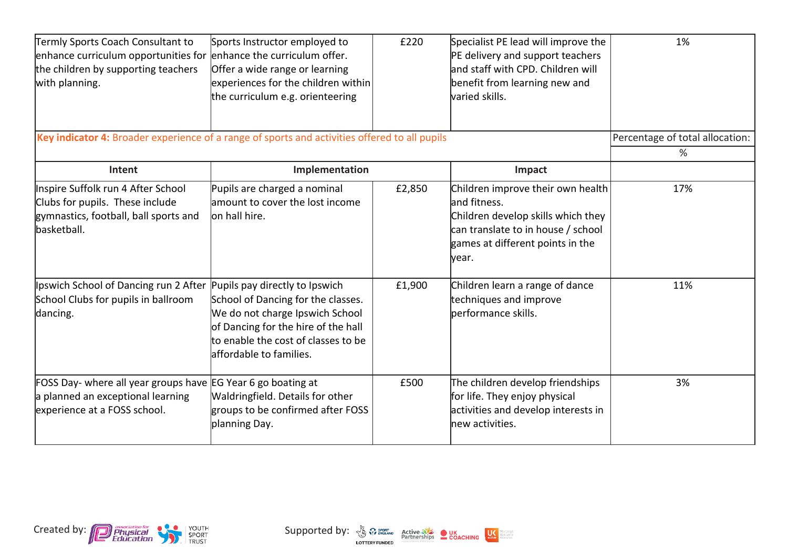| Termly Sports Coach Consultant to<br>enhance curriculum opportunities for enhance the curriculum offer.<br>the children by supporting teachers<br>with planning. | Sports Instructor employed to<br>Offer a wide range or learning<br>experiences for the children within<br>the curriculum e.g. orienteering                                     | £220   | Specialist PE lead will improve the<br>PE delivery and support teachers<br>land staff with CPD. Children will<br>benefit from learning new and<br>varied skills.            | 1%                                   |
|------------------------------------------------------------------------------------------------------------------------------------------------------------------|--------------------------------------------------------------------------------------------------------------------------------------------------------------------------------|--------|-----------------------------------------------------------------------------------------------------------------------------------------------------------------------------|--------------------------------------|
| Key indicator 4: Broader experience of a range of sports and activities offered to all pupils                                                                    |                                                                                                                                                                                |        |                                                                                                                                                                             | Percentage of total allocation:<br>% |
| Intent                                                                                                                                                           | Implementation                                                                                                                                                                 |        | Impact                                                                                                                                                                      |                                      |
| Inspire Suffolk run 4 After School<br>Clubs for pupils. These include<br>gymnastics, football, ball sports and<br>basketball.                                    | Pupils are charged a nominal<br>lamount to cover the lost income<br>lon hall hire.                                                                                             | £2,850 | Children improve their own health<br>land fitness.<br>Children develop skills which they<br>can translate to in house / school<br>games at different points in the<br>year. | 17%                                  |
| Ipswich School of Dancing run 2 After Pupils pay directly to Ipswich<br>School Clubs for pupils in ballroom<br>dancing.                                          | School of Dancing for the classes.<br>We do not charge Ipswich School<br>of Dancing for the hire of the hall<br>to enable the cost of classes to be<br>affordable to families. | £1,900 | Children learn a range of dance<br>techniques and improve<br>performance skills.                                                                                            | 11%                                  |
| FOSS Day- where all year groups have EG Year 6 go boating at<br>a planned an exceptional learning<br>experience at a FOSS school.                                | Waldringfield. Details for other<br>groups to be confirmed after FOSS<br>planning Day.                                                                                         | £500   | The children develop friendships<br>for life. They enjoy physical<br>activities and develop interests in<br>new activities.                                                 | 3%                                   |